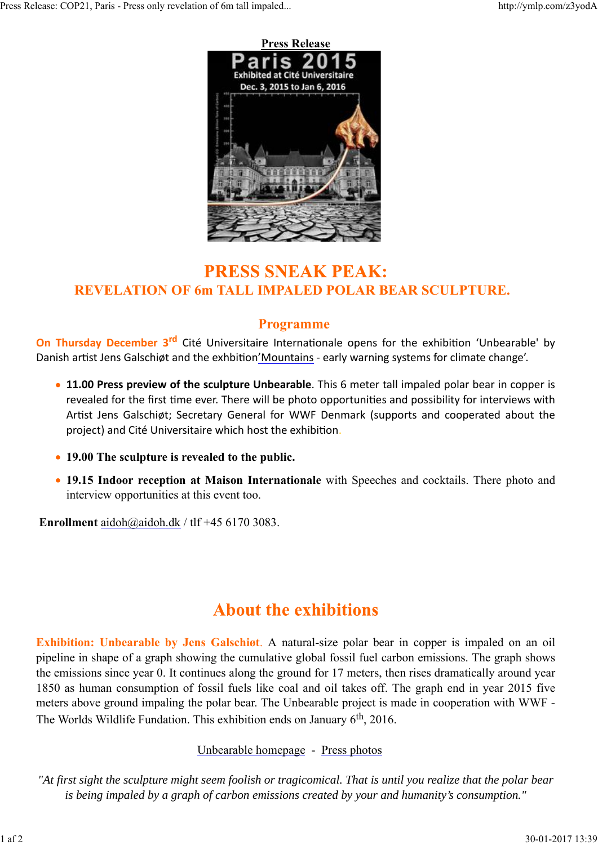

## **PRESS SNEAK PEAK: REVELATION OF 6m TALL IMPALED POLAR BEAR SCULPTURE.**

### **Programme**

**On Thursday December 3<sup>rd</sup>** Cité Universitaire Internationale opens for the exhibition 'Unbearable' by Danish artist Jens Galschiøt and the exhbition'Mountains - early warning systems for climate change'.

- **11.00 Press preview of the sculpture Unbearable**. This 6 meter tall impaled polar bear in copper is revealed for the first time ever. There will be photo opportunities and possibility for interviews with Artist Jens Galschiøt; Secretary General for WWF Denmark (supports and cooperated about the project) and Cité Universitaire which host the exhibition.
- **19.00 The sculpture is revealed to the public.**
- **19.15 Indoor reception at Maison Internationale** with Speeches and cocktails. There photo and interview opportunities at this event too.

**Enrollment** aidoh@aidoh.dk / tlf +45 6170 3083.

# **About the exhibitions**

**Exhibition: Unbearable by Jens Galschiøt**. A natural-size polar bear in copper is impaled on an oil pipeline in shape of a graph showing the cumulative global fossil fuel carbon emissions. The graph shows the emissions since year 0. It continues along the ground for 17 meters, then rises dramatically around year 1850 as human consumption of fossil fuels like coal and oil takes off. The graph end in year 2015 five meters above ground impaling the polar bear. The Unbearable project is made in cooperation with WWF - The Worlds Wildlife Fundation. This exhibition ends on January 6<sup>th</sup>, 2016.

### Unbearable homepage - Press photos

*"At first sight the sculpture might seem foolish or tragicomical. That is until you realize that the polar bear is being impaled by a graph of carbon emissions created by your and humanity's consumption."*